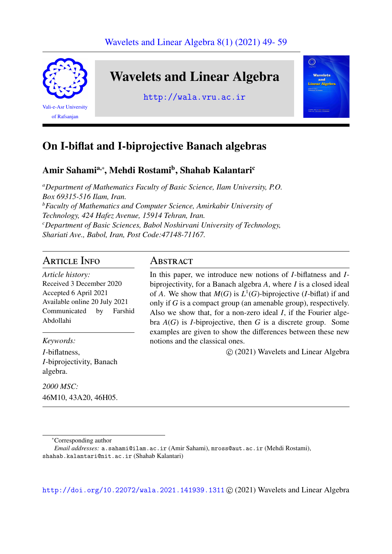

# On I-biflat and I-biprojective Banach algebras

### Amir Sahami<sup>a,∗</sup>, Mehdi Rostami<sup>b</sup>, Shahab Kalantari<sup>c</sup>

*<sup>a</sup>Department of Mathematics Faculty of Basic Science, Ilam University, P.O. Box 69315-516 Ilam, Iran. <sup>b</sup>Faculty of Mathematics and Computer Science, Amirkabir University of Technology, 424 Hafez Avenue, 15914 Tehran, Iran. <sup>c</sup>Department of Basic Sciences, Babol Noshirvani University of Technology, Shariati Ave., Babol, Iran, Post Code:47148-71167.*

## Article Info

*Article history:* Received 3 December 2020 Accepted 6 April 2021 Available online 20 July 2021 Communicated by Farshid Abdollahi

### *Keywords:*

*I*-biflatness, *I*-biprojectivity, Banach algebra.

*2000 MSC:* 46M10, 43A20, 46H05.

### **ABSTRACT**

In this paper, we introduce new notions of *I*-biflatness and *I*biprojectivity, for a Banach algebra *A*, where *I* is a closed ideal of *A*. We show that  $M(G)$  is  $L^1(G)$ -biprojective (*I*-biflat) if and only if *G* is a compact group (an amenable group), respectively. Also we show that, for a non-zero ideal *I*, if the Fourier algebra  $A(G)$  is *I*-biprojective, then *G* is a discrete group. Some examples are given to show the differences between these new notions and the classical ones.

c (2021) Wavelets and Linear Algebra

<sup>∗</sup>Corresponding author

<http://doi.org/10.22072/wala.2021.141939.1311> © (2021) Wavelets and Linear Algebra

*Email addresses:* a.sahami@ilam.ac.ir (Amir Sahami), mross@aut.ac.ir (Mehdi Rostami), shahab.kalantari@nit.ac.ir (Shahab Kalantari)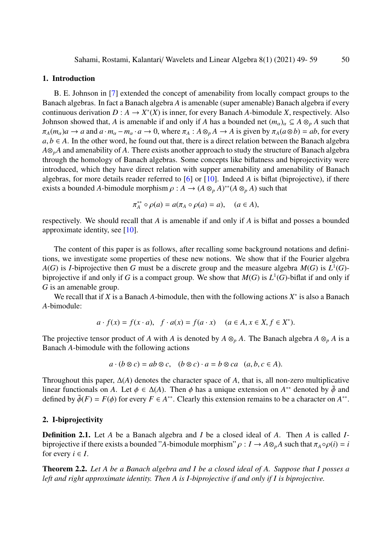#### 1. Introduction

B. E. Johnson in [\[7\]](#page-10-0) extended the concept of amenability from locally compact groups to the Banach algebras. In fact a Banach algebra *A* is amenable (super amenable) Banach algebra if every continuous derivation  $D: A \to X^*(X)$  is inner, for every Banach *A*-bimodule *X*, respectively. Also Johnson showed that, *A* is amenable if and only if *A* has a bounded net  $(m_\alpha)_\alpha \subseteq A \otimes_p A$  such that  $\pi_A(m_\alpha)a \to a$  and  $a \cdot m_\alpha - m_\alpha \cdot a \to 0$ , where  $\pi_A : A \otimes_p A \to A$  is given by  $\pi_A(a \otimes b) = ab$ , for every  $a, b \in A$ . In the other word, he found out that, there is a direct relation between the Banach algebra *A*⊗*pA* and amenability of *A*. There exists another approach to study the structure of Banach algebra through the homology of Banach algebras. Some concepts like biflatness and biprojectivity were introduced, which they have direct relation with supper amenability and amenability of Banach algebras, for more details reader referred to [\[6\]](#page-10-1) or [\[10\]](#page-10-2). Indeed *A* is biflat (biprojective), if there exists a bounded *A*-bimodule morphism  $\rho : A \to (A \otimes_p A)^{**}(A \otimes_p A)$  such that

$$
\pi_A^{**} \circ \rho(a) = a(\pi_A \circ \rho(a) = a), \quad (a \in A),
$$

respectively. We should recall that *A* is amenable if and only if *A* is biflat and posses a bounded approximate identity, see [\[10\]](#page-10-2).

The content of this paper is as follows, after recalling some background notations and definitions, we investigate some properties of these new notions. We show that if the Fourier algebra *A*(*G*) is *I*-biprojective then *G* must be a discrete group and the measure algebra  $M(G)$  is  $L^1(G)$ biprojective if and only if *G* is a compact group. We show that  $M(G)$  is  $L^1(G)$ -biflat if and only if *G* is an amenable group.

We recall that if *X* is a Banach *A*-bimodule, then with the following actions  $X^*$  is also a Banach *A*-bimodule:

$$
a \cdot f(x) = f(x \cdot a), \quad f \cdot a(x) = f(a \cdot x) \quad (a \in A, x \in X, f \in X^*).
$$

The projective tensor product of *A* with *A* is denoted by  $A \otimes_p A$ . The Banach algebra  $A \otimes_p A$  is a Banach *A*-bimodule with the following actions

$$
a \cdot (b \otimes c) = ab \otimes c, \quad (b \otimes c) \cdot a = b \otimes ca \quad (a, b, c \in A).
$$

Throughout this paper, ∆(*A*) denotes the character space of *A*, that is, all non-zero multiplicative linear functionals on *A*. Let  $\phi \in \Delta(A)$ . Then  $\phi$  has a unique extension on  $A^{**}$  denoted by  $\tilde{\phi}$  and defined by  $\tilde{\phi}(F) = F(\phi)$  for every  $F \in A^{**}$ . Clearly this extension remains to be a character on  $A^{**}$ defined by  $\tilde{\phi}(F) = F(\phi)$  for every  $F \in A^{**}$ . Clearly this extension remains to be a character on  $A^{**}$ .

#### 2. I-biprojectivity

Definition 2.1. Let *A* be a Banach algebra and *I* be a closed ideal of *A*. Then *A* is called *I*biprojective if there exists a bounded "*A*-bimodule morphism"  $\rho: I \to A \otimes_{p} A$  such that  $\pi_A \circ \rho(i) = i$ for every  $i \in I$ .

<span id="page-1-0"></span>Theorem 2.2. *Let A be a Banach algebra and I be a closed ideal of A. Suppose that I posses a left and right approximate identity. Then A is I-biprojective if and only if I is biprojective.*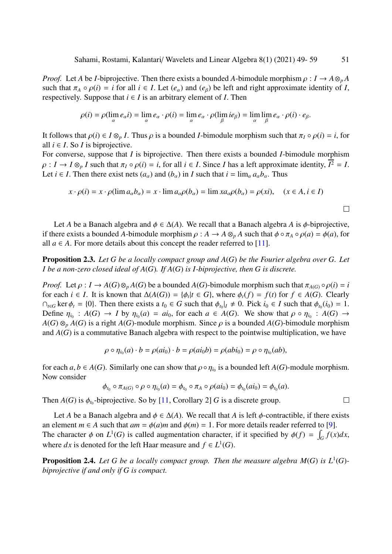*Proof.* Let *A* be *I*-biprojective. Then there exists a bounded *A*-bimodule morphism  $\rho: I \to A \otimes_p A$ such that  $\pi_A \circ \rho(i) = i$  for all  $i \in I$ . Let  $(e_\alpha)$  and  $(e_\beta)$  be left and right approximate identity of *I*, respectively. Suppose that  $i \in I$  is an arbitrary element of *I*. Then

$$
\rho(i) = \rho(\lim_{\alpha} e_{\alpha} i) = \lim_{\alpha} e_{\alpha} \cdot \rho(i) = \lim_{\alpha} e_{\alpha} \cdot \rho(\lim_{\beta} ie_{\beta}) = \lim_{\alpha} \lim_{\beta} e_{\alpha} \cdot \rho(i) \cdot e_{\beta}.
$$

It follows that  $\rho(i) \in I \otimes_p I$ . Thus  $\rho$  is a bounded *I*-bimodule morphism such that  $\pi_I \circ \rho(i) = i$ , for all  $i \in I$ . So *I* is biprojective.

For converse, suppose that *I* is biprojective. Then there exists a bounded *I*-bimodule morphism  $\rho: I \to I \otimes_p I$  such that  $\pi_I \circ \rho(i) = i$ , for all  $i \in I$ . Since *I* has a left approximate identity,  $I^2 = I$ .<br>Let  $i \in I$  Then there exist nets  $(a \to \text{and } (b \to \text{in } I \text{ such that } i = \lim_{a \to \infty} a, b$ . Thus Let *i*  $\in$  *I*. Then there exist nets  $(a_{\alpha})$  and  $(b_{\alpha})$  in *I* such that  $i = \lim_{\alpha} a_{\alpha} b_{\alpha}$ . Thus

$$
x \cdot \rho(i) = x \cdot \rho(\lim a_{\alpha} b_{\alpha}) = x \cdot \lim a_{\alpha} \rho(b_{\alpha}) = \lim x a_{\alpha} \rho(b_{\alpha}) = \rho(xi), \quad (x \in A, i \in I)
$$

Let *A* be a Banach algebra and  $\phi \in \Delta(A)$ . We recall that a Banach algebra *A* is  $\phi$ -biprojective, if there exists a bounded *A*-bimodule morphism  $\rho : A \to A \otimes_p A$  such that  $\phi \circ \pi_A \circ \rho(a) = \phi(a)$ , for all  $a \in A$ . For more details about this concept the reader referred to [\[11\]](#page-10-3).

Proposition 2.3. *Let G be a locally compact group and A*(*G*) *be the Fourier algebra over G. Let I be a non-zero closed ideal of A*(*G*)*. If A*(*G*) *is I-biprojective, then G is discrete.*

*Proof.* Let  $\rho: I \to A(G) \otimes_p A(G)$  be a bounded  $A(G)$ -bimodule morphism such that  $\pi_{A(G)} \circ \rho(i) = i$ for each *i* ∈ *I*. It is known that  $\Delta(A(G)) = \{\phi_t | t \in G\}$ , where  $\phi_t(f) = f(t)$  for  $f \in A(G)$ . Clearly  $\Omega$ ,  $\phi$  are  $\phi$  = *f*(*t*) Then there exists a  $t_0 \in G$  such that  $\phi$   $\vdash$   $\phi$  Pick  $i_0 \in I$  such that  $\phi$   $(i_0) =$  $\cap_{t \in G}$  ker  $\phi_t = \{0\}$ . Then there exists a  $t_0 \in G$  such that  $\phi_{t_0}|_I \neq 0$ . Pick  $i_0 \in I$  such that  $\phi_{t_0}(i_0) = 1$ .<br>Define  $n_t : A(G) \to I$  by  $n_t(a) = ai_0$  for each  $a \in A(G)$ . We show that  $a \circ n_t : A(G) \to A(G)$ . Define  $\eta_{i_0}: A(G) \to I$  by  $\eta_{i_0}(a) = ai_0$ , for each  $a \in A(G)$ . We show that  $\rho \circ \eta_{i_0}: A(G) \to A(G) \otimes A(G)$  is a right  $A(G)$ -module morphism. Since a is a bounded  $A(G)$ -himodule morphism  $A(G) \otimes_p A(G)$  is a right  $A(G)$ -module morphism. Since  $\rho$  is a bounded  $A(G)$ -bimodule morphism and  $A(G)$  is a commutative Banach algebra with respect to the pointwise multiplication, we have

$$
\rho \circ \eta_{i_0}(a) \cdot b = \rho(ai_0) \cdot b = \rho(ai_0b) = \rho(abi_0) = \rho \circ \eta_{i_0}(ab),
$$

for each  $a, b \in A(G)$ . Similarly one can show that  $\rho \circ \eta_{i_0}$  is a bounded left  $A(G)$ -module morphism.<br>Now consider Now consider

$$
\phi_{t_0} \circ \pi_{A(G)} \circ \rho \circ \eta_{i_0}(a) = \phi_{t_0} \circ \pi_A \circ \rho(ai_0) = \phi_{t_0}(ai_0) = \phi_{t_0}(a).
$$

Then  $A(G)$  is  $\phi_{t_0}$ -biprojective. So by [\[11,](#page-10-3) Corollary 2] *G* is a discrete group.

Let *A* be a Banach algebra and  $\phi \in \Delta(A)$ . We recall that *A* is left  $\phi$ -contractible, if there exists an element  $m \in A$  such that  $am = \phi(a)m$  and  $\phi(m) = 1$ . For more details reader referred to [\[9\]](#page-10-4). The character  $\phi$  on  $L^1(G)$  is called augmentation character, if it specified by  $\phi(f) = \int_G f(x)dx$ , where *dx* is denoted for the left Haar measure and  $f \in L^1(G)$ .

<span id="page-2-0"></span>**Proposition 2.4.** Let G be a locally compact group. Then the measure algebra  $M(G)$  is  $L^1(G)$ *biprojective if and only if G is compact.*

 $\Box$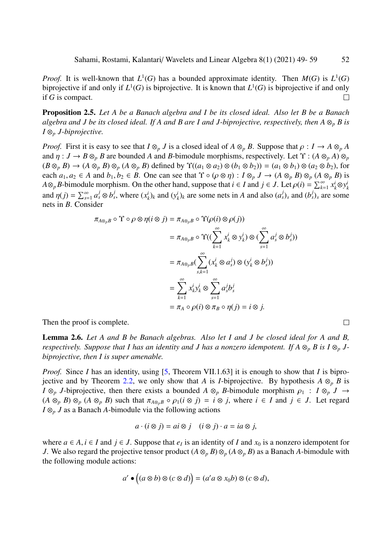*Proof.* It is well-known that  $L^1(G)$  has a bounded approximate identity. Then  $M(G)$  is  $L^1(G)$ biprojective if and only if  $L^1(G)$  is biprojective. It is known that  $L^1(G)$  is biprojective if and only if *G* is compact.  $\Box$ 

Proposition 2.5. *Let A be a Banach algebra and I be its closed ideal. Also let B be a Banach algebra and J be its closed ideal. If A and B are I and J-biprojective, respectively, then*  $A \otimes_p B$  *is I* ⊗*<sup>p</sup> J-biprojective.*

*Proof.* First it is easy to see that  $I \otimes_p J$  is a closed ideal of  $A \otimes_p B$ . Suppose that  $\rho : I \to A \otimes_p A$ and  $\eta: J \to B \otimes_p B$  are bounded A and B-bimodule morphisms, respectively. Let  $\Upsilon: (A \otimes_p A) \otimes_p B$  $(B \otimes_p B) \to (A \otimes_p B) \otimes_p (A \otimes_p B)$  defined by  $\Upsilon((a_1 \otimes a_2) \otimes (b_1 \otimes b_2)) = (a_1 \otimes b_1) \otimes (a_2 \otimes b_2)$ , for each  $a_1, a_2 \in A$  and  $b_1, b_2 \in B$ . One can see that  $\Upsilon \circ (\rho \otimes \eta) : I \otimes_p J \to (A \otimes_p B) \otimes_p (A \otimes_p B)$  is *A*⊗*pB*-bimodule morphism. On the other hand, suppose that  $i \in I$  and  $j \in J$ . Let  $\rho(i) = \sum_{k=1}^{\infty} x_k^i \otimes y_j^i$ <br>and  $p(i) = \sum_{k=1}^{\infty} a_k^j \otimes b_j^j$ , where  $(x^i)$ , and  $(y^i)$ , are some note in *A* and also  $(a^j)$ , and  $(b$ *k* and  $\eta(j) = \sum_{s=1}^{\infty} a_s^j \otimes b_s^j$ , where  $(x_i^j)$  $(k_k^i)_k$  and  $(y_k^i)$  $\binom{i}{k}$  are some nets in *A* and also  $(a_s^j)_s$  and  $(b_s^j)_s$  are some nets in *B*. Consider

$$
\pi_{A \otimes_{p} B} \circ \Upsilon \circ \rho \otimes \eta (i \otimes j) = \pi_{A \otimes_{p} B} \circ \Upsilon(\rho(i) \otimes \rho(j))
$$
  
\n
$$
= \pi_{A \otimes_{p} B} \circ \Upsilon((\sum_{k=1}^{\infty} x_{k}^{i} \otimes y_{k}^{i}) \otimes (\sum_{s=1}^{\infty} a_{s}^{j} \otimes b_{s}^{j}))
$$
  
\n
$$
= \pi_{A \otimes_{p} B}(\sum_{s,k=1}^{\infty} (x_{k}^{i} \otimes a_{s}^{j}) \otimes (y_{k}^{i} \otimes b_{s}^{j}))
$$
  
\n
$$
= \sum_{k=1}^{\infty} x_{k}^{i} y_{k}^{i} \otimes \sum_{s=1}^{\infty} a_{s}^{j} b_{s}^{j}
$$
  
\n
$$
= \pi_{A} \circ \rho(i) \otimes \pi_{B} \circ \eta(j) = i \otimes j.
$$

Then the proof is complete.

Lemma 2.6. *Let A and B be Banach algebras. Also let I and J be closed ideal for A and B, respectively. Suppose that I has an identity and J has a nonzero idempotent. If*  $A \otimes_p B$  *is*  $I \otimes_p J$ *biprojective, then I is super amenable.*

*Proof.* Since *I* has an identity, using [\[5,](#page-10-5) Theorem VII.1.63] it is enough to show that *I* is bipro-jective and by Theorem [2.2,](#page-1-0) we only show that *A* is *I*-biprojective. By hypothesis  $A \otimes_p B$  is *I*  $\otimes_p$  *J*-biprojective, then there exists a bounded *A*  $\otimes_p$  *B*-bimodule morphism  $\rho_1$  : *I*  $\otimes_p$  *J* →  $(A \otimes_p B) \otimes_p (A \otimes_p B)$  such that  $\pi_{A \otimes_p B} \circ \rho_1(i \otimes j) = i \otimes j$ , where  $i \in I$  and  $j \in J$ . Let regard *I* ⊗*<sup>p</sup> J* as a Banach *A*-bimodule via the following actions

$$
a \cdot (i \otimes j) = ai \otimes j \quad (i \otimes j) \cdot a = ia \otimes j,
$$

where *a* ∈ *A*, *i* ∈ *I* and *j* ∈ *J*. Suppose that  $e_I$  is an identity of *I* and  $x_0$  is a nonzero idempotent for *I* We also regard the projective tensor product  $(A \otimes B) \otimes (A \otimes B)$  as a Banach *A*-bimodule with *J*. We also regard the projective tensor product  $(A \otimes_p B) \otimes_p (A \otimes_p B)$  as a Banach *A*-bimodule with the following module actions:

$$
a' \bullet ((a \otimes b) \otimes (c \otimes d)) = (a'a \otimes x_0b) \otimes (c \otimes d),
$$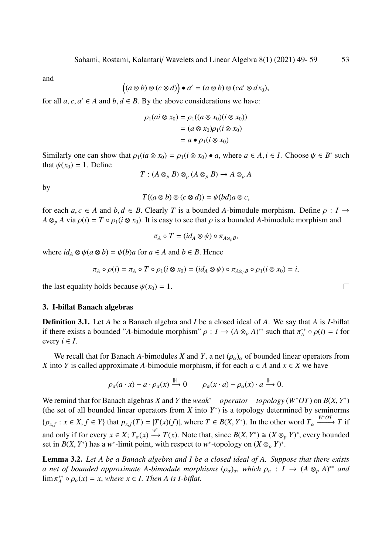and

$$
((a\otimes b)\otimes (c\otimes d))\bullet a'=(a\otimes b)\otimes (ca'\otimes dx_0),
$$

for all  $a, c, a' \in A$  and  $b, d \in B$ . By the above considerations we have:

$$
\rho_1(ai \otimes x_0) = \rho_1((a \otimes x_0)(i \otimes x_0))
$$
  
=  $(a \otimes x_0)\rho_1(i \otimes x_0)$   
=  $a \bullet \rho_1(i \otimes x_0)$ 

Similarly one can show that  $\rho_1(ia \otimes x_0) = \rho_1(i \otimes x_0) \bullet a$ , where  $a \in A, i \in I$ . Choose  $\psi \in B^*$  such that  $\psi(x_0) = 1$ . Define that  $\psi(x_0) = 1$ . Define

$$
T: (A \otimes_p B) \otimes_p (A \otimes_p B) \to A \otimes_p A
$$

by

$$
T((a\otimes b)\otimes (c\otimes d))=\psi(bd)a\otimes c,
$$

for each  $a, c \in A$  and  $b, d \in B$ . Clearly *T* is a bounded *A*-bimodule morphism. Define  $\rho : I \rightarrow$  $A \otimes_p A$  via  $\rho(i) = T \circ \rho_1(i \otimes x_0)$ . It is easy to see that  $\rho$  is a bounded *A*-bimodule morphism and

$$
\pi_A\circ T=(id_A\otimes\psi)\circ\pi_{A\otimes_p B},
$$

where  $id_A \otimes \psi(a \otimes b) = \psi(b)a$  for  $a \in A$  and  $b \in B$ . Hence

$$
\pi_A \circ \rho(i) = \pi_A \circ T \circ \rho_1(i \otimes x_0) = (id_A \otimes \psi) \circ \pi_{A \otimes_p B} \circ \rho_1(i \otimes x_0) = i,
$$

the last equality holds because  $\psi(x_0) = 1$ .

#### 3. I-biflat Banach algebras

Definition 3.1. Let *A* be a Banach algebra and *I* be a closed ideal of *A*. We say that *A* is *I*-biflat if there exists a bounded "*A*-bimodule morphism"  $\rho : I \to (A \otimes_{p} A)^{**}$  such that  $\pi_A^{**}$ <br>every  $i \in I$  $\beta_A^{**} \circ \rho(i) = i$  for every  $i \in I$ .

We recall that for Banach *A*-bimodules *X* and *Y*, a net  $(\rho_{\alpha})_{\alpha}$  of bounded linear operators from *X* into *Y* is called approximate *A*-bimodule morphism, if for each  $a \in A$  and  $x \in X$  we have

$$
\rho_{\alpha}(a \cdot x) - a \cdot \rho_{\alpha}(x) \xrightarrow{\|\cdot\|} 0 \qquad \rho_{\alpha}(x \cdot a) - \rho_{\alpha}(x) \cdot a \xrightarrow{\|\cdot\|} 0.
$$

We remind that for Banach algebras *X* and *Y* the *weak<sup>\*</sup> operator topology* (*W*<sup>\*</sup>*OT*) on *B*(*X*, *Y*<sup>\*</sup>) (the set of all bounded linear operators from *Y* into *Y*<sup>\*</sup>) is a topology determined by seminorms (the set of all bounded linear operators from  $X$  into  $Y^*$ ) is a topology determined by seminorms  $\{p_{x,f} : x \in X, f \in Y\}$  that  $p_{x,f}(T) = |T(x)(f)|$ , where  $T \in B(X, Y^*)$ . In the other word  $T_\alpha \xrightarrow{W^* \circ T} T$  if and only if for every  $x \in X$ ;  $T_\alpha(x) \xrightarrow{w^*} T(x)$ . Note that, since  $B(X, Y^*) \cong (X \otimes_p Y)^*$ , every bounded set in  $B(X, Y^*)$  has a w<sup>\*</sup>-limit point with respect to w<sup>\*</sup>-topology on  $(X \otimes Y)^*$ set in *B*(*X*, *Y*<sup>\*</sup>) has a *w*<sup>\*</sup>-limit point, with respect to *w*<sup>\*</sup>-topology on  $(X \otimes_p Y)^*$ 

Lemma 3.2. *Let A be a Banach algebra and I be a closed ideal of A. Suppose that there exists a* net of bounded approximate A-bimodule morphisms  $(\rho_{\alpha})_{\alpha}$ , which  $\rho_{\alpha} : I \to (A \otimes_{p} A)^{**}$  and  $\lim_{n \to \infty} \pi^{**} \circ \rho_{\alpha}(x) = x$  where  $x \in I$ . Then A is L-biflat  $\lim \pi_A^{**}$  $A^*_{A} \circ \rho_{\alpha}(x) = x$ , *where*  $x \in I$ . *Then A* is *I-biflat.*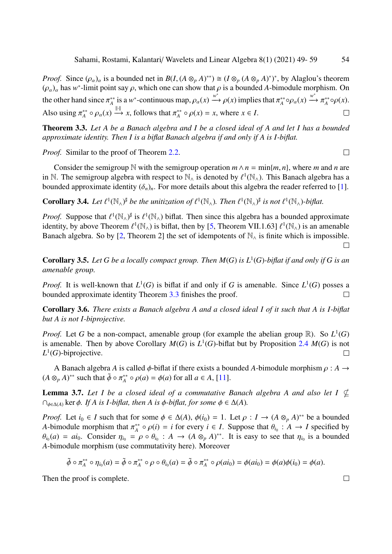*Proof.* Since  $(\rho_{\alpha})_{\alpha}$  is a bounded net in  $B(I, (A \otimes_{p} A)^{**}) \cong (I \otimes_{p} (A \otimes_{p} A)^{*})^{*}$ , by Alaglou's theorem  $(a)$  has  $w^{*}$ -limit point say  $\alpha$  which one can show that  $\alpha$  is a bounded 4-bimodule morphism. On  $(\rho_{\alpha})_{\alpha}$  has *w*<sup>\*</sup>-limit point say  $\rho$ , which one can show that  $\rho$  is a bounded *A*-bimodule morphism. On the other hand since  $\pi_A^{**}$ <sup>\*\*</sup> is a *w*<sup>\*</sup>-continuous map,  $\rho_{\alpha}(x) \xrightarrow{w^*} \rho(x)$  implies that  $\pi_A^{**}$  $\phi_A^{**} \circ \rho_\alpha(x) \xrightarrow{w^*} \pi_A^{**}$  $\alpha_A^{**}$ ορ(x). Also using  $\pi_A^{**}$ <sup>\*\*</sup>  $\circ \rho_{\alpha}(x) \stackrel{\|\cdot\|}{\longrightarrow} x$ , follows that  $\pi_A^{**}$  $A^*$ <sup> $\circ \rho(x) = x$ , where  $x \in I$ .</sup>

<span id="page-5-0"></span>Theorem 3.3. *Let A be a Banach algebra and I be a closed ideal of A and let I has a bounded approximate identity. Then I is a biflat Banach algebra if and only if A is I-biflat.*

*Proof.* Similar to the proof of Theorem [2.2.](#page-1-0)

Consider the semigroup N with the semigroup operation  $m \wedge n = \min\{m, n\}$ , where *m* and *n* are in N. The semigroup algebra with respect to  $\mathbb{N}_{\wedge}$  is denoted by  $\ell^1(\mathbb{N}_{\wedge})$ . This Banach algebra has a<br>bounded approximate identity ( $\delta$ ). For more details about this algebra the reader referred to [1]. bounded approximate identity  $(\delta_n)_n$ . For more details about this algebra the reader referred to [\[1\]](#page-10-6).

**Corollary 3.4.** Let  $\ell^1(\mathbb{N}_\wedge)^{\sharp}$  be the unitization of  $\ell^1(\mathbb{N}_\wedge)$ . Then  $\ell^1(\mathbb{N}_\wedge)^{\sharp}$  is not  $\ell^1(\mathbb{N}_\wedge)$ -biflat.

*Proof.* Suppose that  $\ell^1(\mathbb{N}_\wedge)^{\sharp}$  is  $\ell^1(\mathbb{N}_\wedge)$  biflat. Then since this algebra has a bounded approximate identity by above Theorem  $\ell^1(\mathbb{N}_\wedge)$  is biflat, then by [5] Theorem VII 1.631  $\ell^1(\mathbb{N}_\wedge)$  identity, by above Theorem  $\ell^1(\mathbb{N}_\wedge)$  is biflat, then by [\[5,](#page-10-5) Theorem VII.1.63]  $\ell^1(\mathbb{N}_\wedge)$  is an amenable<br>Banach algebra. So by [2] Theorem 21 the set of idempotents of  $\mathbb{N}$  is finite which is impossible. Banach algebra. So by [\[2,](#page-10-7) Theorem 2] the set of idempotents of  $\mathbb{N}_{\wedge}$  is finite which is impossible.

**Corollary 3.5.** Let G be a locally compact group. Then  $M(G)$  is  $L^1(G)$ -biflat if and only if G is an *amenable group.*

*Proof.* It is well-known that  $L^1(G)$  is biflat if and only if *G* is amenable. Since  $L^1(G)$  posses a bounded approximate identity Theorem [3.3](#page-5-0) finishes the proof.  $\Box$ 

Corollary 3.6. *There exists a Banach algebra A and a closed ideal I of it such that A is I-biflat but A is not I-biprojective.*

*Proof.* Let *G* be a non-compact, amenable group (for example the abelian group  $\mathbb{R}$ ). So  $L^1(G)$ is amenable. Then by above Corollary  $M(G)$  is  $L^1(G)$ -biflat but by Proposition [2.4](#page-2-0)  $M(G)$  is not  $L^1(G)$ -biprojective.  $\Box$ 

A Banach algebra *A* is called  $\phi$ -biflat if there exists a bounded *A*-bimodule morphism  $\rho : A \rightarrow$  $(A \otimes_{p} A)^{**}$  such that  $\tilde{\phi} \circ \pi_A^{**}$  $A^*$  ∘  $ρ(a) = φ(a)$  for all *a* ∈ *A*, [\[11\]](#page-10-3).

**Lemma 3.7.** Let I be a closed ideal of a commutative Banach algebra A and also let I  $\phi$  $\bigcap_{\phi \in \Delta(A)} \ker \phi$ *. If A is I-biflat, then A is*  $\phi$ *-biflat, for some*  $\phi \in \Delta(A)$ *.* 

*Proof.* Let  $i_0 \in I$  such that for some  $\phi \in \Delta(A)$ ,  $\phi(i_0) = 1$ . Let  $\rho : I \to (A \otimes_p A)^{**}$  be a bounded 4-bimodule morphism that  $\pi^{**} \circ \phi(i) = i$  for every  $i \in I$ . Suppose that  $\theta_i : A \to I$  specified by *A*-bimodule morphism that  $\pi_A^{**}$  $A^*$  ↑  $\rho(i) = i$  for every  $i \in I$ . Suppose that  $\theta_{i_0} : A \to I$  specified by  $\theta_{i_0}(a) = ai_0$ . Consider  $\eta_{i_0} = \rho \circ \theta_{i_0} : A \to (A \otimes_p A)^*$ . It is easy to see that  $\eta_{i_0}$  is a bounded A-bimodule morphism (use commutativity here). Moreover *A*-bimodule morphism (use commutativity here). Moreover

$$
\tilde{\phi} \circ \pi_A^{**} \circ \eta_{i_0}(a) = \tilde{\phi} \circ \pi_A^{**} \circ \rho \circ \theta_{i_0}(a) = \tilde{\phi} \circ \pi_A^{**} \circ \rho(ai_0) = \phi(ai_0) = \phi(a)\phi(i_0) = \phi(a).
$$

Then the proof is complete.

 $\Box$ 

 $\Box$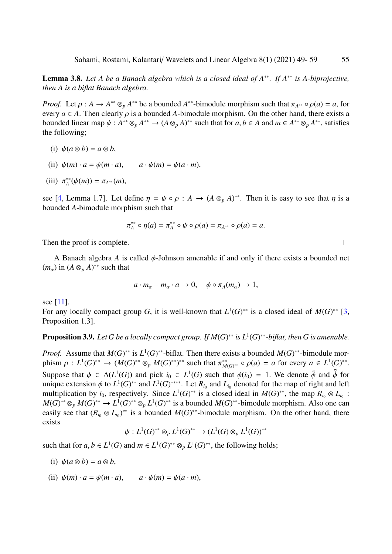Lemma 3.8. *Let A be a Banach algebra which is a closed ideal of A*∗∗*. If A*∗∗ *is A-biprojective, then A is a biflat Banach algebra.*

*Proof.* Let  $\rho : A \to A^{**} \otimes_{p} A^{**}$  be a bounded  $A^{**}$ -bimodule morphism such that  $\pi_{A^{**}} \circ \rho(a) = a$ , for every  $a \in A$ . Then clearly  $a$  is a bounded *A*-bimodule morphism. On the other hand, there exists a every  $a \in A$ . Then clearly  $\rho$  is a bounded A-bimodule morphism. On the other hand, there exists a bounded linear map  $\psi : A^{**} \otimes_p A^{**} \to (A \otimes_p A)^{**}$  such that for  $a, b \in A$  and  $m \in A^{**} \otimes_p A^{**}$ , satisfies the following: the following;

(i) 
$$
\psi(a \otimes b) = a \otimes b
$$
,

- (ii)  $\psi(m) \cdot a = \psi(m \cdot a), \qquad a \cdot \psi(m) = \psi(a \cdot m),$
- (iii)  $\pi_A^{**}$  $A^*(\psi(m)) = \pi_{A^{**}}(m),$

see [\[4,](#page-10-8) Lemma 1.7]. Let define  $\eta = \psi \circ \rho : A \to (A \otimes_{\rho} A)^{**}$ . Then it is easy to see that  $\eta$  is a bounded 4-bimodule morphism such that bounded *A*-bimodule morphism such that

$$
\pi_A^{**} \circ \eta(a) = \pi_A^{**} \circ \psi \circ \rho(a) = \pi_{A^{**}} \circ \rho(a) = a.
$$

Then the proof is complete.

A Banach algebra *<sup>A</sup>* is called φ-Johnson amenable if and only if there exists a bounded net  $(m_\alpha)$  in  $(A \otimes_p A)^{**}$  such that

$$
a \cdot m_{\alpha} - m_{\alpha} \cdot a \to 0
$$
,  $\phi \circ \pi_A(m_{\alpha}) \to 1$ ,

see [\[11\]](#page-10-3).

For any locally compact group *G*, it is well-known that  $L^1(G)^{**}$  is a closed ideal of  $M(G)^{**}$  [\[3,](#page-10-9) Proposition 1.3].

**Proposition 3.9.** Let G be a locally compact group. If  $M(G)^{**}$  is  $L^1(G)^{**}$ -biflat, then G is amenable.

*Proof.* Assume that  $M(G)^{**}$  is  $L^1(G)^{**}$ -biflat. Then there exists a bounded  $M(G)^{**}$ -bimodule morphism  $\rho: L^1(G)^{**} \to (M(G)^{**} \otimes_p M(G)^{**})^{**}$  such that  $\pi_M^{**}$ *<sup>∗∗</sup>* ∞  $\rho(a) = a$  for every  $a \in L^1(G)^{**}$ <br>
∴ ∴ ∴ → 1 **W**<sub>*b*</sub>  $\frac{1}{2}$  ≤ 5  $\frac{1}{2}$  ≤ 6 Suppose that  $\phi \in \Delta(L^1(G))$  and pick  $i_0 \in L^1(G)$  such that  $\phi(i_0) = 1$ . We denote  $\tilde{\phi}$  and  $\tilde{\phi}$  for unique extension  $\phi$  to  $L^1(G)$ <sup>\*\*</sup> and  $L^1(G)$ <sup>\*\*\*\*</sup> Let  $R$ , and  $L$ , denoted for the man of right and left unique extension  $\phi$  to  $L^1(G)^{**}$  and  $L^1(G)^{***}$ . Let  $R_{i_0}$  and  $L_{i_0}$  denoted for the map of right and left multiplication by  $i_0$  respectively. Since  $L^1(G)^{**}$  is a closed ideal in  $M(G)^{**}$ , the map  $R_i \otimes L_j$ . multiplication by  $i_0$ , respectively. Since  $L^1(G)^{**}$  is a closed ideal in  $M(G)^{**}$ , the map  $R_{i_0} \otimes L_{i_0}$ :  $M(G)^{**} \otimes_p M(G)^{**} \to L^1(G)^{**} \otimes_p L^1(G)^{**}$  is a bounded  $M(G)^{**}$ -bimodule morphism. Also one can easily see that  $(R_{i0} \otimes L_{i0})^{**}$  is a bounded  $M(G)^{**}$ -bimodule morphism. On the other hand, there exists

$$
\psi: L^1(G)^{**} \otimes_p L^1(G)^{**} \to (L^1(G) \otimes_p L^1(G))^{**}
$$

such that for  $a, b \in L^1(G)$  and  $m \in L^1(G)^{**} \otimes_p L^1(G)^{**}$ , the following holds;

- (i)  $\psi(a \otimes b) = a \otimes b$ ,
- (ii)  $\psi(m) \cdot a = \psi(m \cdot a), \qquad a \cdot \psi(m) = \psi(a \cdot m),$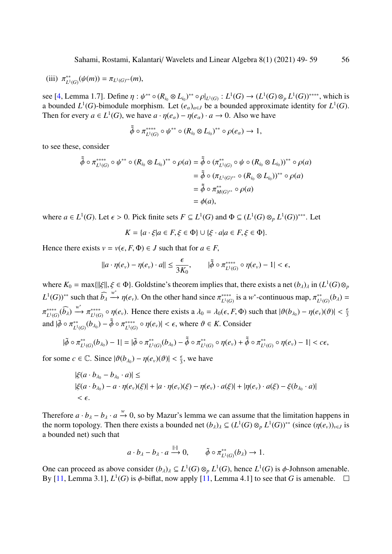(iii) 
$$
\pi^*_{L^1(G)}(\psi(m)) = \pi_{L^1(G)^{**}}(m),
$$

see [\[4,](#page-10-8) Lemma 1.7]. Define  $\eta : \psi^{**} \circ (R_{i_0} \otimes L_{i_0})^{**} \circ \rho|_{L^1(G)} : L^1(G) \to (L^1(G) \otimes_p L^1(G))^{***}$ , which is<br>a bounded  $I^1(G)$ -bimodule morphism. Let  $(e)$ , be a bounded approximate identity for  $I^1(G)$ a bounded *L*<sup>1</sup>(*G*)-bimodule morphism. Let  $(e_{\alpha})_{\alpha \in J}$  be a bounded approximate identity for *L*<sup>1</sup>(*G*).<br>Then for every  $a \in L^1(G)$ , we have  $a \cdot p(e_{\alpha}) - p(e_{\alpha}) \cdot a \rightarrow 0$ . Also we have Then for every  $a \in L^1(G)$ , we have  $a \cdot \eta(e_\alpha) - \eta(e_\alpha) \cdot a \to 0$ . Also we have

$$
\tilde{\tilde{\phi}} \circ \pi_{L^1(G)}^{***} \circ \psi^{**} \circ (R_{i_0} \otimes L_{i_0})^{**} \circ \rho(e_\alpha) \to 1,
$$

to see these, consider

$$
\begin{aligned}\n\tilde{\phi} \circ \pi_{L^1(G)}^{****} \circ \psi^{**} \circ (R_{i_0} \otimes L_{i_0})^{**} \circ \rho(a) &= \tilde{\phi} \circ (\pi_{L^1(G)}^{**} \circ \psi \circ (R_{i_0} \otimes L_{i_0}))^{**} \circ \rho(a) \\
&= \tilde{\phi} \circ (\pi_{L^1(G)^{**}} \circ (R_{i_0} \otimes L_{i_0}))^{**} \circ \rho(a) \\
&= \tilde{\phi} \circ \pi_{M(G)^{**}}^{**} \circ \rho(a) \\
&= \phi(a),\n\end{aligned}
$$

where  $a \in L^1(G)$ . Let  $\epsilon > 0$ . Pick finite sets  $F \subseteq L^1(G)$  and  $\Phi \subseteq (L^1(G) \otimes_p L^1(G))^{***}$ . Let

$$
K = \{a \cdot \xi | a \in F, \xi \in \Phi\} \cup \{\xi \cdot a | a \in F, \xi \in \Phi\}.
$$

Hence there exists  $v = v(\epsilon, F, \Phi) \in J$  such that for  $a \in F$ ,

$$
||a \cdot \eta(e_v) - \eta(e_v) \cdot a|| \leq \frac{\epsilon}{3K_0}, \qquad |\tilde{\phi} \circ \pi_{L^1(G)}^{****} \circ \eta(e_v) - 1| < \epsilon,
$$

where  $K_0 = \max\{\|\xi\|, \xi \in \Phi\}$ . Goldstine's theorem implies that, there exists a net  $(b_\lambda)_\lambda$  in  $(L^1(G) \otimes_p)$  $L^1(G)$ <sup>\*\*</sup> such that  $\widehat{b}_\lambda \stackrel{w^*}{\longrightarrow} \eta(e_\nu)$ . On the other hand since  $\pi^{***}_{L^1(G)}$ <sup>\*\*\*\*</sup> is a *w*<sup>\*</sup>-continuous map,  $\pi_{L^1}^{**}$  $L^*_{L^1(G)}(b_\lambda) =$ and  $|\tilde{\phi} \circ \pi_{L^1}^{**}$ ∗∗∗∗  $\begin{matrix} \widehat{L}^{***} \\ L^1(G) \end{matrix}$  (*b*<sub>λ</sub>)  $\xrightarrow{w^*} \pi^{***}_{L^1(G)}$ <sup>\*\*\*\*</sup>  $\alpha$  o  $\eta(e_v)$ . Hence there exists a  $\lambda_0 = \lambda_0(\epsilon, F, \Phi)$  such that  $|\vartheta(b_{\lambda_0}) - \eta(e_v)(\vartheta)| < \frac{\epsilon}{3}$  $L^{*}$ <sub>L</sub><sup>1</sup>(*G*)</sub> (*b*<sub>λ0</sub>) −  $\tilde{\tilde{\phi}}$  ο π<sup>\*\*\*\*</sup><sub>L</sub><sup>1</sup>(*G*)  $\mathcal{L}^{(1)}(G) \circ \eta(e_v)$  <  $\epsilon$ , where  $\vartheta \in K$ . Consider

$$
|\tilde{\phi}\circ \pi_{L^1(G)}^{**}(b_{\lambda_0})-1|=|\tilde{\phi}\circ \pi_{L^1(G)}^{**}(b_{\lambda_0})-\tilde{\tilde{\phi}}\circ \pi_{L^1(G)}^{**}\circ \eta(e_v)+\tilde{\tilde{\phi}}\circ \pi_{L^1(G)}^{**}\circ \eta(e_v)-1|
$$

for some  $c \in \mathbb{C}$ . Since  $|\vartheta(b_{\lambda_0}) - \eta(e_v)(\vartheta)| < \frac{\epsilon}{3}$ , we have

$$
|\xi(a \cdot b_{\lambda_0} - b_{\lambda_0} \cdot a)| \le
$$
  
|\xi(a \cdot b\_{\lambda\_0}) - a \cdot \eta(e\_v)(\xi)| + |a \cdot \eta(e\_v)(\xi) - \eta(e\_v) \cdot a(\xi)| + |\eta(e\_v) \cdot a(\xi) - \xi(b\_{\lambda\_0} \cdot a)| < \epsilon.

Therefore  $a \cdot b_\lambda - b_\lambda \cdot a \stackrel{w}{\rightarrow} 0$ , so by Mazur's lemma we can assume that the limitation happens in the narrational set the second set  $(b \cdot) \subseteq (1 \mid (C) \cap L^1(C))$ <sup>\*\*</sup> (since  $((c \cdot))$ ) is the norm topology. Then there exists a bounded net  $(b_\lambda)_\lambda \subseteq (L^1(G) \otimes_p L^1(G))^{**}$  (since  $(\eta(e_v))_{v \in J}$  is a bounded net) such that a bounded net) such that

$$
a \cdot b_{\lambda} - b_{\lambda} \cdot a \xrightarrow{\|\cdot\|} 0, \qquad \tilde{\phi} \circ \pi_{L^1(G)}^{**}(b_{\lambda}) \to 1.
$$

One can proceed as above consider  $(b_{\lambda})_{\lambda} \subseteq L^{1}(G) \otimes_{p} L^{1}(G)$ , hence  $L^{1}(G)$  is  $\phi$ -Johnson amenable.<br>By [11, Lemma 3, 11, *L*<sup>1</sup>(*G*) is  $\phi$ -biflat, now apply [11, Lemma 4, 11 to see that *G* is amenable. By [\[11,](#page-10-3) Lemma 3.1],  $L^1(G)$  is  $\phi$ -biflat, now apply [11, Lemma 4.1] to see that *G* is amenable.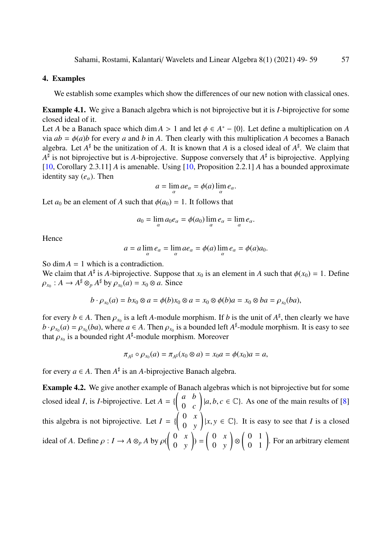#### 4. Examples

We establish some examples which show the differences of our new notion with classical ones.

Example 4.1. We give a Banach algebra which is not biprojective but it is *I*-biprojective for some closed ideal of it.

Let *A* be a Banach space which dim *A* > 1 and let  $\phi \in A^* - \{0\}$ . Let define a multiplication on *A* via  $ab - \phi(a)$  for every *a* and *b* in *A*. Then clearly with this multiplication *A* becomes a Banach via  $ab = \phi(a)b$  for every *a* and *b* in *A*. Then clearly with this multiplication *A* becomes a Banach algebra. Let  $A^{\sharp}$  be the unitization of A. It is known that A is a closed ideal of  $A^{\sharp}$ . We claim that *A* ] is not biprojective but is *A*-biprojective. Suppose conversely that *A* ] is biprojective. Applying [\[10,](#page-10-2) Corollary 2.3.11] *A* is amenable. Using [\[10,](#page-10-2) Proposition 2.2.1] *A* has a bounded approximate identity say  $(e_{\alpha})$ . Then

$$
a = \lim_{\alpha} ae_{\alpha} = \phi(a) \lim_{\alpha} e_{\alpha}.
$$

Let *a*<sub>0</sub> be an element of *A* such that  $\phi(a_0) = 1$ . It follows that

$$
a_0 = \lim_{\alpha} a_0 e_{\alpha} = \phi(a_0) \lim_{\alpha} e_{\alpha} = \lim_{\alpha} e_{\alpha}.
$$

Hence

$$
a = a \lim_{\alpha} e_{\alpha} = \lim_{\alpha} ae_{\alpha} = \phi(a) \lim_{\alpha} e_{\alpha} = \phi(a)a_0.
$$

So dim  $A = 1$  which is a contradiction.

We claim that  $A^{\sharp}$  is *A*-biprojective. Suppose that  $x_0$  is an element in *A* such that  $\phi(x_0) = 1$ . Define  $\rho_{x_0}: A \to A^{\sharp} \otimes_{p} A^{\sharp}$  by  $\rho_{x_0}(a) = x_0 \otimes a$ . Since

$$
b \cdot \rho_{x_0}(a) = bx_0 \otimes a = \phi(b)x_0 \otimes a = x_0 \otimes \phi(b)a = x_0 \otimes ba = \rho_{x_0}(ba),
$$

for every *b* ∈ *A*. Then  $\rho_{x_0}$  is a left *A*-module morphism. If *b* is the unit of  $A^{\sharp}$ , then clearly we have  $b \cdot \rho_{\chi}$  (a) =  $\rho_{\chi}$  (ba) where  $q \in A$ . Then  $\rho_{\chi}$  is a bounded left  $A^{\sharp}$ -module morphism.  $b \cdot \rho_{x_0}(a) = \rho_{x_0}(ba)$ , where  $a \in A$ . Then  $\rho_{x_0}$  is a bounded left  $A^{\sharp}$ -module morphism. It is easy to see that  $\rho_{x_0}$  is a bounded right  $A^{\sharp}$ -module morphism. Moreover that  $\rho_{x_0}$  is a bounded right  $A^{\sharp}$ -module morphism. Moreover

$$
\pi_{A^{\sharp}} \circ \rho_{x_0}(a) = \pi_{A^{\sharp}}(x_0 \otimes a) = x_0 a = \phi(x_0) a = a,
$$

for every  $a \in A$ . Then  $A^{\sharp}$  is an *A*-biprojective Banach algebra.

<span id="page-8-0"></span>Example 4.2. We give another example of Banach algebras which is not biprojective but for some closed ideal *I*, is *I*-biprojective. Let  $A = \{$  *a b* 0 *c*  $\left| a, b, c \in \mathbb{C} \right|$ . As one of the main results of [\[8\]](#page-10-10) this algebra is not biprojective. Let  $I = \{$  $\begin{pmatrix} 0 & x \\ y & z \end{pmatrix}$ 0 *y*  $(x, y \in \mathbb{C})$ . It is easy to see that *I* is a closed ideal of *A*. Define  $\rho: I \to A \otimes_p A$  by  $\rho(A)$  $\begin{pmatrix} 0 & x \end{pmatrix}$ 0 *y* !  $) =$  $\begin{pmatrix} 0 & x \\ y & z \end{pmatrix}$ 0 *y* ! ⊗  $\left(\begin{array}{cc} 0 & 1 \\ 0 & 1 \end{array}\right)$ . For an arbitrary element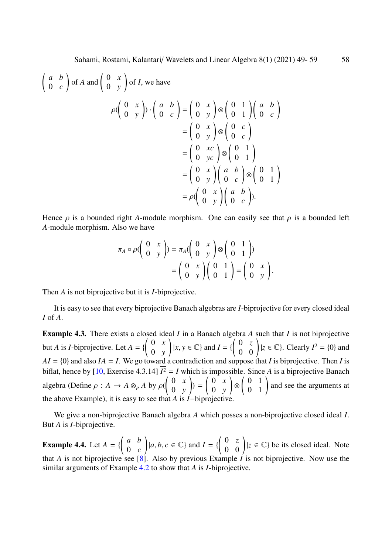$$
\begin{pmatrix}\na & b \\
0 & c\n\end{pmatrix} \text{ of } A \text{ and } \begin{pmatrix}\n0 & x \\
0 & y\n\end{pmatrix} \text{ of } I, \text{ we have}
$$
\n
$$
\rho \begin{pmatrix}\n0 & x \\
0 & y\n\end{pmatrix} \cdot \begin{pmatrix}\na & b \\
0 & c\n\end{pmatrix} = \begin{pmatrix}\n0 & x \\
0 & y\n\end{pmatrix} \otimes \begin{pmatrix}\n0 & 1 \\
0 & 1\n\end{pmatrix} \begin{pmatrix}\na & b \\
0 & c\n\end{pmatrix}
$$
\n
$$
= \begin{pmatrix}\n0 & x \\
0 & y\n\end{pmatrix} \otimes \begin{pmatrix}\n0 & 1 \\
0 & 1\n\end{pmatrix}
$$
\n
$$
= \begin{pmatrix}\n0 & x \\
0 & y\n\end{pmatrix} \otimes \begin{pmatrix}\n0 & 1 \\
0 & 1\n\end{pmatrix}
$$
\n
$$
= \rho \begin{pmatrix}\n0 & x \\
0 & y\n\end{pmatrix} \begin{pmatrix}\na & b \\
0 & c\n\end{pmatrix} \otimes \begin{pmatrix}\n0 & 1 \\
0 & 1\n\end{pmatrix}
$$
\n
$$
= \rho \begin{pmatrix}\n0 & x \\
0 & y\n\end{pmatrix} \begin{pmatrix}\na & b \\
0 & c\n\end{pmatrix}.
$$

Hence  $\rho$  is a bounded right *A*-module morphism. One can easily see that  $\rho$  is a bounded left *A*-module morphism. Also we have

$$
\pi_A \circ \rho \begin{pmatrix} 0 & x \\ 0 & y \end{pmatrix} = \pi_A \begin{pmatrix} 0 & x \\ 0 & y \end{pmatrix} \otimes \begin{pmatrix} 0 & 1 \\ 0 & 1 \end{pmatrix}
$$

$$
= \begin{pmatrix} 0 & x \\ 0 & y \end{pmatrix} \begin{pmatrix} 0 & 1 \\ 0 & 1 \end{pmatrix} = \begin{pmatrix} 0 & x \\ 0 & y \end{pmatrix}.
$$

Then *A* is not biprojective but it is *I*-biprojective.

It is easy to see that every biprojective Banach algebras are *I*-biprojective for every closed ideal *I* of *A*.

<span id="page-9-0"></span>Example 4.3. There exists a closed ideal *I* in a Banach algebra *A* such that *I* is not biprojective but *A* is *I*-biprojective. Let  $A = \{$  $\begin{pmatrix} 0 & x \\ y & z \end{pmatrix}$ 0 *y*  $\left| x, y \in \mathbb{C} \right\}$  and  $I = \{ \begin{pmatrix} 0 & z \\ 0 & 0 \end{pmatrix} | z \in \mathbb{C} \}$ . Clearly  $I^2 = \{0\}$  and  $AI = \{0\}$  and also  $IA = I$ . We go toward a contradiction and suppose that *I* is biprojective. Then *I* is biflat, hence by [\[10,](#page-10-2) Exercise 4.3.14]  $I^2 = I$  which is impossible. Since A is a biprojective Banach algebra (Define  $\rho : A \to A \otimes_p A$  by  $\rho(A)$  $\begin{pmatrix} 0 & x \\ y & z \end{pmatrix}$ 0 *y* !  $) =$  $\begin{pmatrix} 0 & x \\ y & z \end{pmatrix}$ 0 *y* ! ⊗  $\left(\begin{array}{cc} 0 & 1 \\ 0 & 1 \end{array}\right)$  and see the arguments at the above Example), it is easy to see that *A* is *I*−biprojective.

We give a non-biprojective Banach algebra *A* which posses a non-biprojective closed ideal *I*. But *A* is *I*-biprojective.

<span id="page-9-1"></span>**Example 4.4.** Let  $A = \{$  *a b* 0 *c*  $\left| a, b, c \in \mathbb{C} \right\}$  and  $I = \{ \begin{pmatrix} 0 & z \\ 0 & 0 \end{pmatrix} | z \in \mathbb{C} \}$  be its closed ideal. Note that *A* is not biprojective see [\[8\]](#page-10-10). Also by previous Example *I* is not biprojective. Now use the similar arguments of Example [4.2](#page-8-0) to show that *A* is *I*-biprojective.